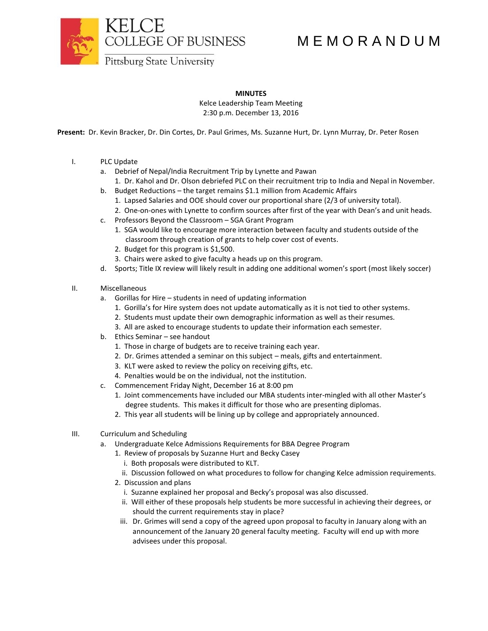

## M E M O R A N D U M

**Pittsburg State University** 

## **MINUTES**

Kelce Leadership Team Meeting 2:30 p.m. December 13, 2016

**Present:** Dr. Kevin Bracker, Dr. Din Cortes, Dr. Paul Grimes, Ms. Suzanne Hurt, Dr. Lynn Murray, Dr. Peter Rosen

- I. PLC Update
	- a. Debrief of Nepal/India Recruitment Trip by Lynette and Pawan
		- 1. Dr. Kahol and Dr. Olson debriefed PLC on their recruitment trip to India and Nepal in November.
	- b. Budget Reductions the target remains \$1.1 million from Academic Affairs
		- 1. Lapsed Salaries and OOE should cover our proportional share (2/3 of university total).
		- 2. One-on-ones with Lynette to confirm sources after first of the year with Dean's and unit heads.
	- c. Professors Beyond the Classroom SGA Grant Program
		- 1. SGA would like to encourage more interaction between faculty and students outside of the classroom through creation of grants to help cover cost of events.
		- 2. Budget for this program is \$1,500.
		- 3. Chairs were asked to give faculty a heads up on this program.
	- d. Sports; Title IX review will likely result in adding one additional women's sport (most likely soccer)
- II. Miscellaneous
	- a. Gorillas for Hire students in need of updating information
		- 1. Gorilla's for Hire system does not update automatically as it is not tied to other systems.
		- 2. Students must update their own demographic information as well as their resumes.
		- 3. All are asked to encourage students to update their information each semester.
	- b. Ethics Seminar see handout
		- 1. Those in charge of budgets are to receive training each year.
		- 2. Dr. Grimes attended a seminar on this subject meals, gifts and entertainment.
		- 3. KLT were asked to review the policy on receiving gifts, etc.
		- 4. Penalties would be on the individual, not the institution.
	- c. Commencement Friday Night, December 16 at 8:00 pm
		- 1. Joint commencements have included our MBA students inter-mingled with all other Master's degree students. This makes it difficult for those who are presenting diplomas.
		- 2. This year all students will be lining up by college and appropriately announced.
- III. Curriculum and Scheduling
	- a. Undergraduate Kelce Admissions Requirements for BBA Degree Program
		- 1. Review of proposals by Suzanne Hurt and Becky Casey
			- i. Both proposals were distributed to KLT.
		- ii. Discussion followed on what procedures to follow for changing Kelce admission requirements.
		- 2. Discussion and plans
			- i. Suzanne explained her proposal and Becky's proposal was also discussed.
			- ii. Will either of these proposals help students be more successful in achieving their degrees, or should the current requirements stay in place?
			- iii. Dr. Grimes will send a copy of the agreed upon proposal to faculty in January along with an announcement of the January 20 general faculty meeting. Faculty will end up with more advisees under this proposal.